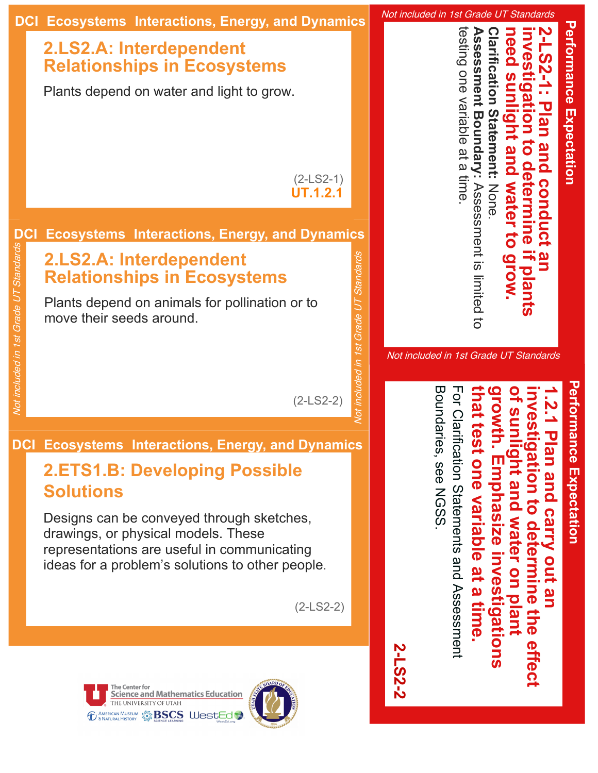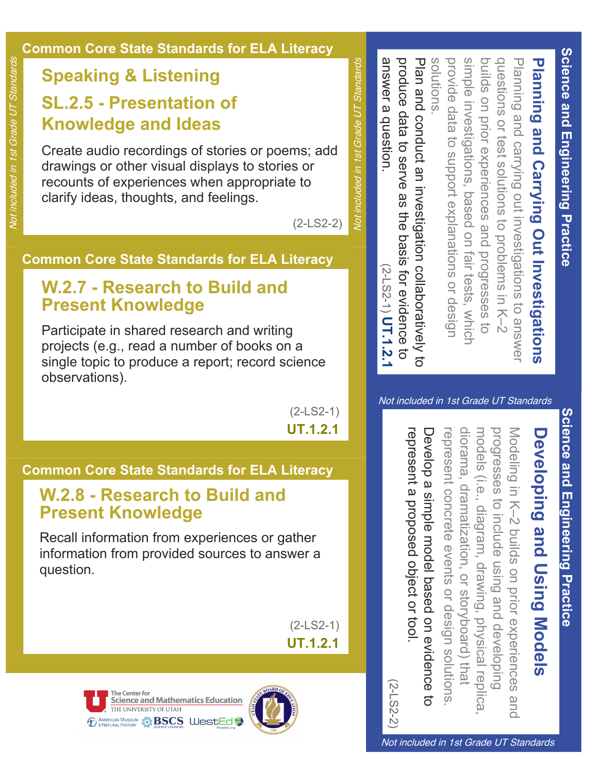# Planning and Carrying Out Investigations **Planning and Carrying Out Investigations**

build questions solutions. provide data to support explanations or design provide data to support explanations or design simple questions or test solutions to problems in K–2 Planning and carrying out investigations to answer Planning and carrying out investigations to answer s on prior experiences and progresses to on prior experiences and in<br>1 vestigations, based on fair tests, which  $rac{1}{2}$ test solutions to problems in K-2 progresses  $\overline{C}$ 

answer a question. produce data to serve as the basis for evidence to solutions.<br>Plan and conduct an investigation collaboratively to answer a question. produce data to Plan and conduct an investigation collaboratively to serve as the basis for evidence to (2-LS2-1) **UT.1.2.1**

Not included in 1st Grade UT Standards Not included in 1st Grade UT Standards

(2-LS2-2)

#### **Common Core State Standards for ELA Literacy**

Create audio recordings of stories or poems; add

drawings or other visual displays to stories or recounts of experiences when appropriate to

#### **W.2.7 Research to Build and Present Knowledge**

**Speaking & Listening**

**Knowledge and Ideas**

**SL.2.5 Presentation of** 

clarify ideas, thoughts, and feelings.

Participate in shared research and writing projects (e.g., read a number of books on a single topic to produce a report; record science observations).

> (2-LS2-1) **UT.1.2.1**

#### **Common Core State Standards for ELA Literacy**

#### **W.2.8 Research to Build and Present Knowledge**

Recall information from experiences or gather information from provided sources to answer a question.

> (2-LS2-1) **UT.1.2.1**

THE UNIVERSITY OF UTAH **TO AMERICAN MUSEUM STREED BASES** WestEd



# **Developing and Using Models Developing and Using Models**

represent a proposed object or tool Develop a simple model based on evidence to diorama, dramatization, or storyboard) that diorama, dramatizprogresses represent a proposed Develop a simple model based on evidence to represent concrete events or desigmodelsprogresses to include usinModeli nrepresent concrete events (i.e., diagram, drawing, physical repli g in K–2 buil ation, or storyboard) that  $\mathbf{\Omega}$ s on prior experiences and object or tool. or design solutions g and develon solutions. pin<br>Di <u>م</u> ca,

Not included in 1st Grade UT Standards

**Science and Engineering Practice Science and Engineering Practice**

(2-LS2-2)

The Center for<br>Science and Mathematics Education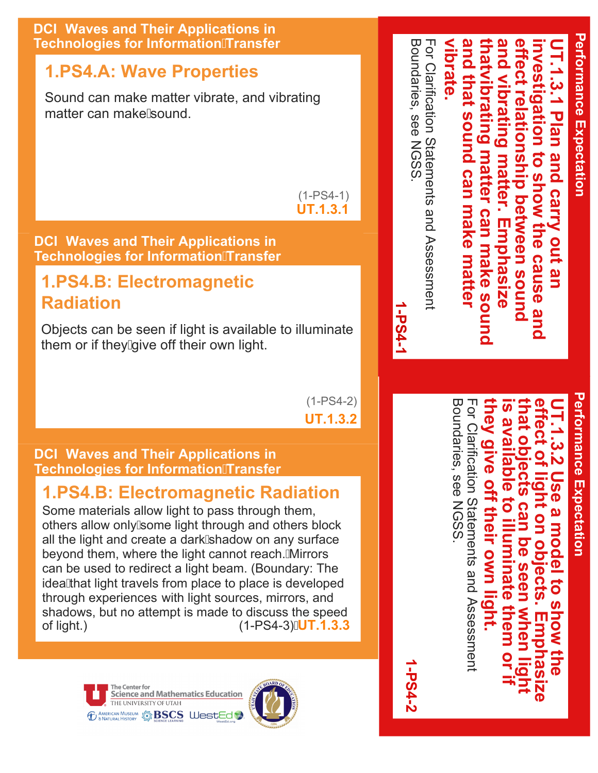

#### **DCI: Waves and Their Applications in Technologies for InformationTransfer**

**Radiation**

#### **1.PS4.B: Electromagnetic Radiation**

Some materials allow light to pass through them, others allow only some light through and others block all the light and create a dark/shadow on any surface beyond them, where the light cannot reach. A lirrors can be used to redirect a light beam. (Boundary: The idea A hat light travels from place to place is developed through experiences with light sources, mirrors, and shadows, but no attempt is made to discuss the speed of light.) (1-PS4-3)**UT.1.3.3**





Boundaries, see NGSS. For Clarification Statements and Assessment **they give off their own light. is available to illuminate them or if that objects can be seen when light effect of light on objects. Emphasize**  For Clarification Statements and Assessment **UT.1.3.2 Use a model to show the**  nev avalla **QIVe** on their own light  $\boldsymbol{\bar{\sigma}}$  $\overline{9}$ to illuminate them o a model n be seen 8 **Jects**  $\overline{\sigma}$ **When** NON Emphas the

**1-PS4-2**

**Performance Expectation Performance Expectation** 

**UT.1.3.1 Plan and carry out an** 

Plan and carry out an

- 1.3.1<br>-

**investigation to show the cause and** 

ivestigation to show the cause and

**Performance Expectation**

**Performance Expectation**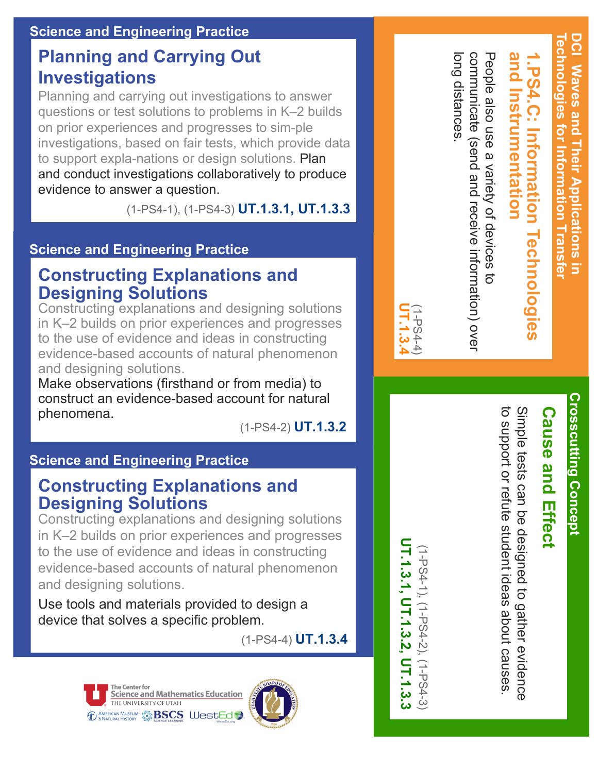#### **Science and Engineering Practice**

#### **Planning and Carrying Out Investigations**

Planning and carrying out investigations to answer questions or test solutions to problems in K–2 builds on prior experiences and progresses to sim-ple investigations, based on fair tests, which provide data to support expla-nations or design solutions. Plan and conduct investigations collaboratively to produce evidence to answer a question.

(1PS41), (1PS43) **UT.1.3.1, UT.1.3.3**

#### **Science and Engineering Practice**

#### **Constructing Explanations and Designing Solutions**

Constructing explanations and designing solutions in K–2 builds on prior experiences and progresses to the use of evidence and ideas in constructing evidence-based accounts of natural phenomenon and designing solutions.

Make observations (firsthand or from media) to construct an evidence-based account for natural phenomena.

(1-PS4-2) **UT.1.3.2**

#### **Science and Engineering Practice**

#### **Constructing Explanations and Designing Solutions**

Constructing explanations and designing solutions in K–2 builds on prior experiences and progresses to the use of evidence and ideas in constructing evidence-based accounts of natural phenomenon and designing solutions.

Use tools and materials provided to design a device that solves a specific problem.

(1-PS4-4) **UT.1.3.4**





UT.1.3.1, UT.1.3.2, UT.1.3.3 **UT.1.3.1, UT.1.3.2, UT.1.3.3** (1-PS4-1), (1-PS4-2), (1-PS4-3) (1-PS4-1), (1-PS4-2), (1-PS4-3)

**UT.1.3.4** JT.1.3 (1-PS4-4) long distances.

long distances

communicate (send and receive information) over

communicate (send and receive information) ove

People also use a variety of devices to

People also use a variety of devices to

**and Instrumentation**

PS4.C: Information Technog

and Instrumentation

**Crosscutting Concept Crosscutting Concept** 

**1.PS4.C: Information Technologies Cause and Effect Cause and Effect**

to support or refute student ideas about causes Simple tests can be designed to gather evidence to support or refute Simple tests can be designed to gather evidence student ideas about causes.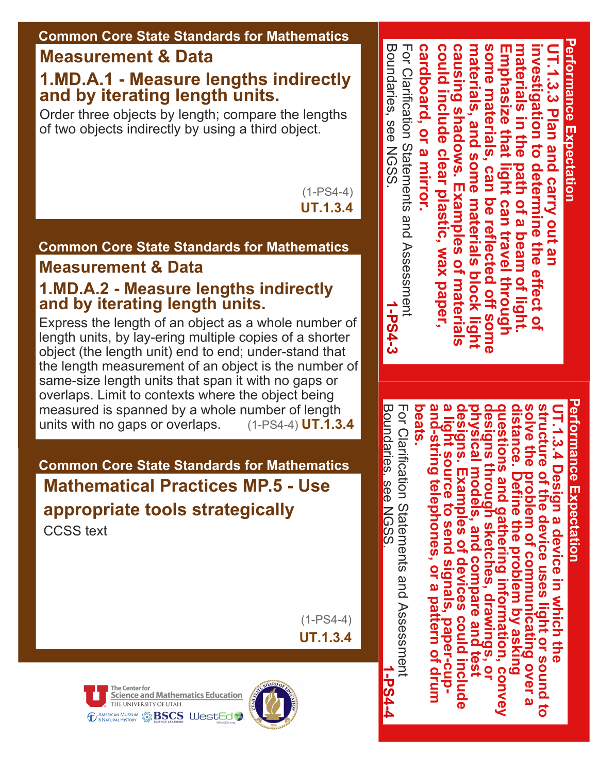#### **Common Core State Standards for Mathematics**

#### **Measurement & Data**

#### **1.MD.A.1 Measure lengths indirectly and by iterating length units.**

Order three objects by length; compare the lengths of two objects indirectly by using a third object.

> (1-PS4-4) **UT.1.3.4**

#### **Common Core State Standards for Mathematics**

#### **Measurement & Data**

#### **1.MD.A.2 Measure lengths indirectly and by iterating length units.**

Express the length of an object as a whole number of length units, by lay-ering multiple copies of a shorter object (the length unit) end to end; under-stand that the length measurement of an object is the number of same-size length units that span it with no gaps or overlaps. Limit to contexts where the object being measured is spanned by a whole number of length units with no gaps or overlaps. (1-PS4-4) **UT.1.3.4**

#### **Common Core State Standards for Mathematics Mathematical Practices MP.5 Use appropriate tools strategically** CCSS text

(1-PS4-4) **UT.1.3.4**







**Performance Expectation Performance Expectation Boundaries, see NGSS** For Clarification Statements and Assessment Boundaries, cardboard, or a mirror **cardboard, or a mirror. could include clear plastic, wax paper, causing shadows. Examples of materials materials, and some materials block light**  some materials, can be reflected off some **some materials, can be reflected off some materials in the path of a beam of light.**  could include clear plastic, wax paper, causing shadows. Examples of materials materials, and some materials block light Emphasize that light can travel through **Emphasize that light can travel through**  materials in the path of a beam of light. **investigation to determine the effect of UT.1.3.3 Plan and carry out an**  nvestigation to determine the effect of IT.1.3.3 Plan and carry out an Clarification see NGSS. Statements and Assessment **1-PS4-3**

> **Performance Expectation** erformance Expectatior

For Clarification Statements and Assessment **beats.**  UT.1.3.4 Design a device in which the<br>structure of the device uses light or sound to<br>solve the problem of communicating over a<br>distance. Define the problem by asking<br>designs through sketches, drawings, or<br>physical models, Clarification Statements and Assessment

**1-PS4-4**

Boundaries,

Boundaries, see NGSS

see NGSS.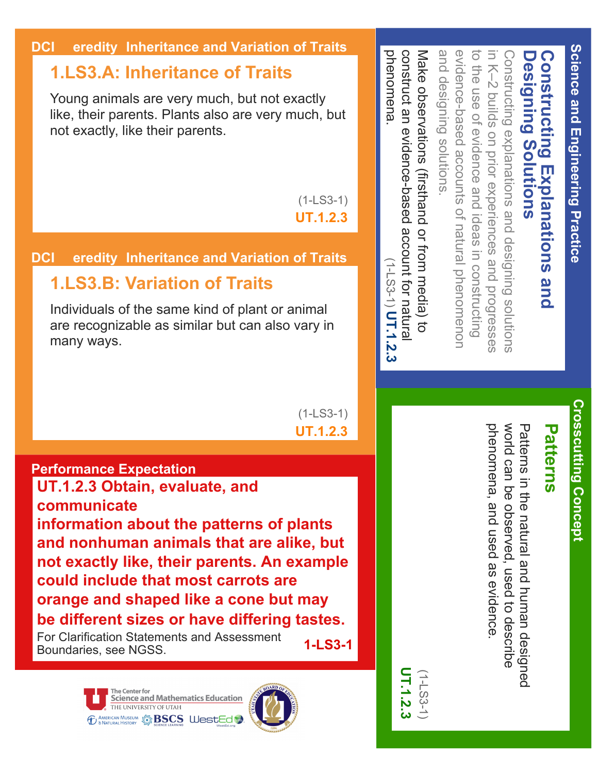| <b>ition of Traits</b>                                                                                | phenomena                                                                                         |                                                                                                                              |                                                                                                        |                                               |                                      |                                         |
|-------------------------------------------------------------------------------------------------------|---------------------------------------------------------------------------------------------------|------------------------------------------------------------------------------------------------------------------------------|--------------------------------------------------------------------------------------------------------|-----------------------------------------------|--------------------------------------|-----------------------------------------|
| not exactly<br>ery much, but                                                                          | Nake observations (firsthand or trom media) to<br>construct an evidence-based account for natural | to the use of evidence and ideas in constructing<br>evidence-based accounts of natural phenomenon<br>and designing solutions | in K-2 builds on prior experiences and progresses<br>Constructing explanations and designing solutions | <b>Designing Solutions</b>                    | <b>Constructing Explanations and</b> | <b>Science and Engineering Practice</b> |
| $(1 - LS3 - 1)$<br><b>UT.1.2.3</b>                                                                    |                                                                                                   |                                                                                                                              |                                                                                                        |                                               |                                      |                                         |
| ition of Trait <mark>s</mark>                                                                         |                                                                                                   |                                                                                                                              |                                                                                                        |                                               |                                      |                                         |
| it or animal<br>also vary in                                                                          | $(1 - 1.53 - 1)$ UT.1.2.3                                                                         |                                                                                                                              |                                                                                                        |                                               |                                      |                                         |
| $(1 - LS3 - 1)$<br><b>UT.1.2.3</b>                                                                    |                                                                                                   |                                                                                                                              |                                                                                                        |                                               |                                      |                                         |
|                                                                                                       |                                                                                                   |                                                                                                                              |                                                                                                        |                                               |                                      |                                         |
| of plants<br>e alike, but<br><b>An example</b><br>s are<br>but may<br>ring tastes.<br>າent<br>1-LS3-1 | ЯF.                                                                                               |                                                                                                                              | world can<br>phenome<br>na, and used as evidence<br>be observed, used to describe                      | Patterns<br>in the natural and human designed | <b>Patterns</b>                      | <b>Crosscutting Concept</b>             |

#### **DCI** eredity Inheritance and Varia

#### **1.LS3.A: Inheritance of Trait**

Young animals are very much, but no like, their parents. Plants also are v not exactly, like their parents.

#### **DCI** eredity Inheritance and Varia

#### **1.LS3.B: Variation of Trait**

Individuals of the same kind of plan are recognizable as similar but can many ways.

#### **Performance Expectation**

**UT.1.2.3 Obtain, evaluate, and communicate information about the patterns and nonhuman animals that are not exactly like, their parents. could include that most carrots orange and shaped like a cone be different sizes or have different** 

For Clarification Statements and Assessm Boundaries, see NGSS.

> The Center for Science and Mathematics Education THE UNIVERSITY OF UTAH *ED AMERICAN MUSEUM* **S BSCS WestEd**



**UT.1.2.3**  $1.2.3$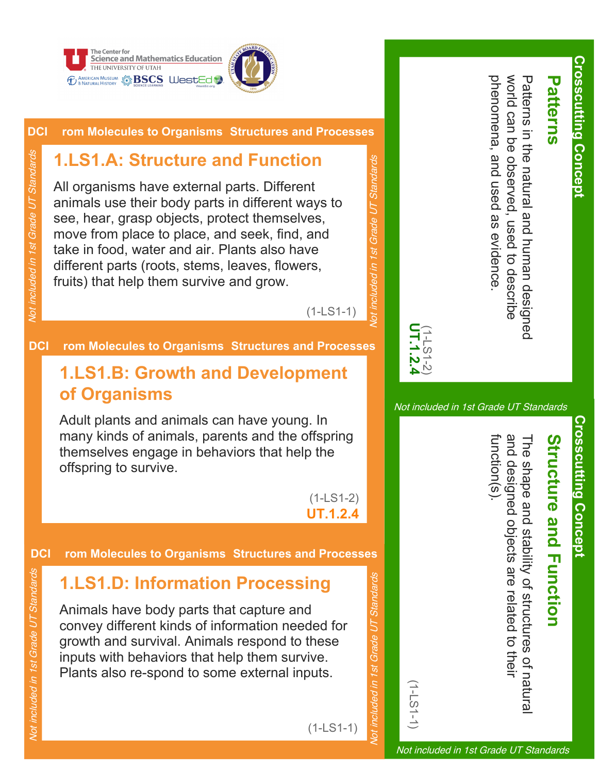



#### **DCI rom Molecules to Organisms Structures and Processes**

#### **1.LS1.A: Structure and Function**

All organisms have external parts. Different animals use their body parts in different ways to see, hear, grasp objects, protect themselves, move from place to place, and seek, find, and take in food, water and air. Plants also have different parts (roots, stems, leaves, flowers, fruits) that help them survive and grow.

(1-LS1-1)

Not included in 1st Grade UT Standards

 $1s$ 

ded in

inclu  $\beta$ 

Grade UT

Standards

#### **DCI rom Molecules to Organisms Structures and Processes**

#### **1.LS1.B: Growth and Development of Organisms**

Adult plants and animals can have young. In many kinds of animals, parents and the offspring themselves engage in behaviors that help the offspring to survive.

> (1-LS1-2) **UT.1.2.4**

#### **DCI rom Molecules to Organisms Structures and Processes**

#### **1.LS1.D: Information Processing**

Animals have body parts that capture and convey different kinds of information needed for growth and survival. Animals respond to these inputs with behaviors that help them survive. Plants also re-spond to some external inputs.

**Crosscutting Concept**

**Crosscutting Concept** 

phenomena, and used as evidence world can be observed phenomena, and used as evidence. world can be observed, Patterns in the natural and human designed Patterns in the natural and human designed used to describe used to describe

Not included in 1st Grade UT Standards

**UT.1.2.4** (1-LS1-2)

(1-LS1-1)

Not included in 1st Grade UT Standards

Vot included in 1st Grade UT Standards

**Crosscutting Concept Crosscutting Concept** 

# **Structure and Function Structure and Function**

function(s). and designed objects are related to their and designed objects The shape and stability of structures of natural unction(s) he shape and stability of structures of natura are related to their

Not included in 1st Grade UT Standards

Not included in 1st Grade UT Standards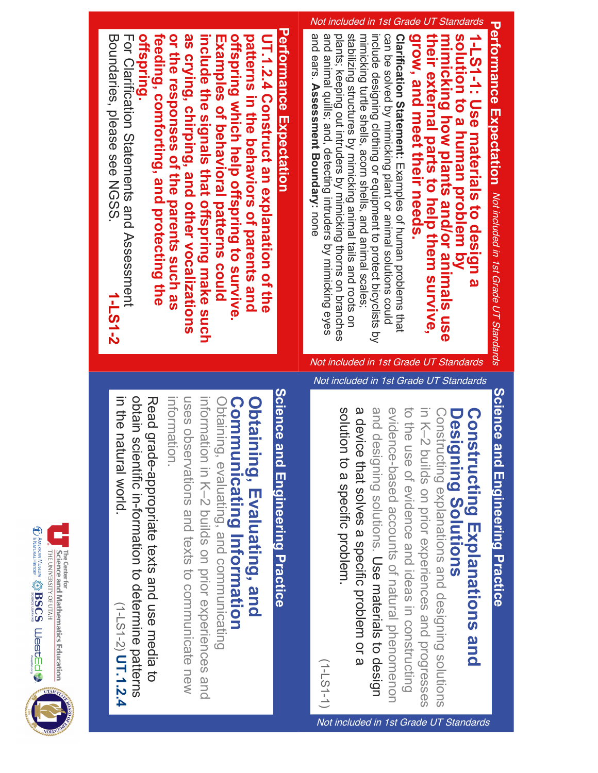

Not included in 1st Grade UT Standards

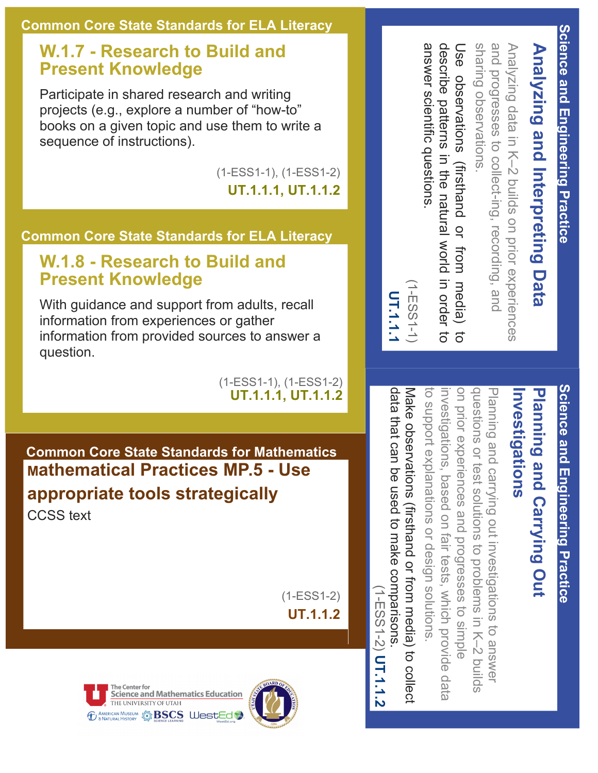## **Analyzing and Interpreting Data** Analyzing and Interpreting Data

Analy zing data in K–2 buil  $\mathbf{\Omega}$ s on prior experiences and progresses to coll and progresses to collect-ing, recording, and cting, recording, and sharing observations.

answer scientific questions describe patterns in the natural world in order to Use answer scientific questions. describe patterns Use observations (firsthand or from media) to observations *(firsthand* the natural world in order to  $\overline{Q}$ from media)  $\vec{d}$ 

(1-ESS1-1)  $(1 - ESS1 - 1)$ **UT.1.1.1**

data that can

# Science and Engineering Practice **Science and Engineering Practice**

### **Investigations** Planning and Carrying Out **Planning and Carrying Out**  nvestigations

Make observations (firsthand or from media) to collect on prior experiences and progresses to simple Planning and carrying out investigations to answer Make observations (firsthand or from media) to collect to support explainvestigations, based on fair tests, which provide data on prior experiences and progresses to simple questiovestigations, based on fair tests, which provide data ns or test solutions to problems in K–2 buil g and carrying out investigations to answer nations or design solutions. ds

data that can be used to make comparisons be used to make comparisons. (1-ESS1-2)  $(1 - E)$  2  $(1 - 2)$   $\bf \bf 1$   $\bf 1$   $\bf 1$   $\bf 2$ **UT.1.1.2**

#### **W.1.7 Research to Build and Present Knowledge**

Participate in shared research and writing projects (e.g., explore a number of "how-to" books on a given topic and use them to write a sequence of instructions).

(1-ESS1-1), (1-ESS1-2)

**UT.1.1.1, UT.1.1.2**

#### **Common Core State Standards for ELA Literacy**

#### **W.1.8 Research to Build and Present Knowledge**

With guidance and support from adults, recall information from experiences or gather information from provided sources to answer a question.

> (1-ESS1-1), (1-ESS1-2) **UT.1.1.1, UT.1.1.2**

**Common Core State Standards for Mathematics Mathematical Practices MP.5 Use appropriate tools strategically**

CCSS text

(1-ESS1-2) **UT.1.1.2**

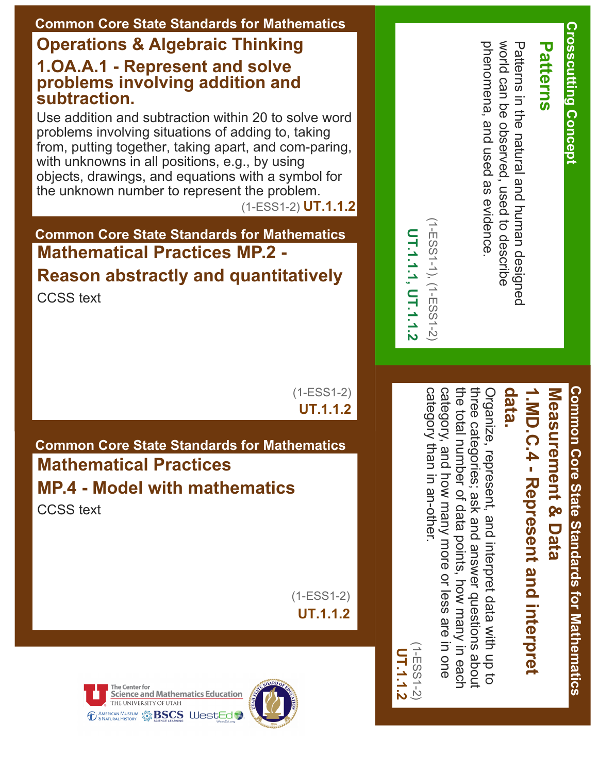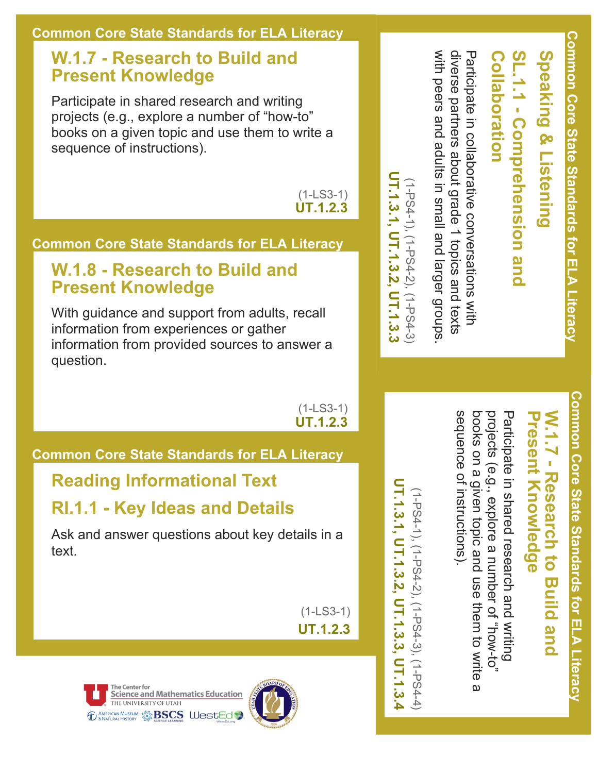#### **W.1.7 Research to Build and Present Knowledge**

Participate in shared research and writing projects (e.g., explore a number of "how-to" books on a given topic and use them to write a sequence of instructions).

> (1-LS3-1) **UT.1.2.3**

#### **Common Core State Standards for ELA Literacy**

#### **W.1.8 Research to Build and Present Knowledge**

With guidance and support from adults, recall information from experiences or gather information from provided sources to answer a question.

> (1-LS3-1) **UT.1.2.3**

#### **Common Core State Standards for ELA Literacy**

#### **Reading Informational Text**

#### **RI.1.1 Key Ideas and Details**

Ask and answer questions about key details in a text.

> (1-LS3-1) **UT.1.2.3**





## SL.1.1 - Comprehension and Speaking & Listening **SL.1.1 Comprehension and Speaking & Listening**

**Collaboration**

Collaboration

**Common Core State Standards for ELA/Literacy**

Common Core State Standards for ELA Literac)

with peers and adults in small and larger groups diverse partners about grade 1 topics and texts with peers and adults in small and larger diverse partners Participate in collaborative conversations with Participate in collaborative conversations with grade 1 topics and texts

(1-PS4-1), (1-PS4-2), (1-PS4-3) **UT.1.3.1, UT.1.3.2, UT.1.3.3**

UT.1.3.1, UT.1.3.2, UT.1.3.3 (1-PS4-1), (1-PS4-2), (1-PS4-3)

> **Common Core State Standards for ELA/Literacy** Comnon Core State Standards for ELA Literacy

### **WPresent Knowledge Present Knowledge .1.7 Research to Build** - Research to **Build** and

sequence of instructions). sequence of instructions). books on a given topic and use them to write a projects (e.g., explore a number of "how-to" projects (e.g., explore a Participate in shared research and writing Participate in shared research and writing books on a given topic and use them to write number of "how-to"  $\overline{\omega}$ 

UT.1.3.1, UT.1.3.2, UT.1.3.3, UT.1.3.4 **UT.1.3.1, UT.1.3.2, UT.1.3.3, UT.1.3.4**(1PS41), (1PS42), (1PS43), (1PS44) (1-PS4-1), (1-PS4-2), (1-PS4-3), (1-PS4-4)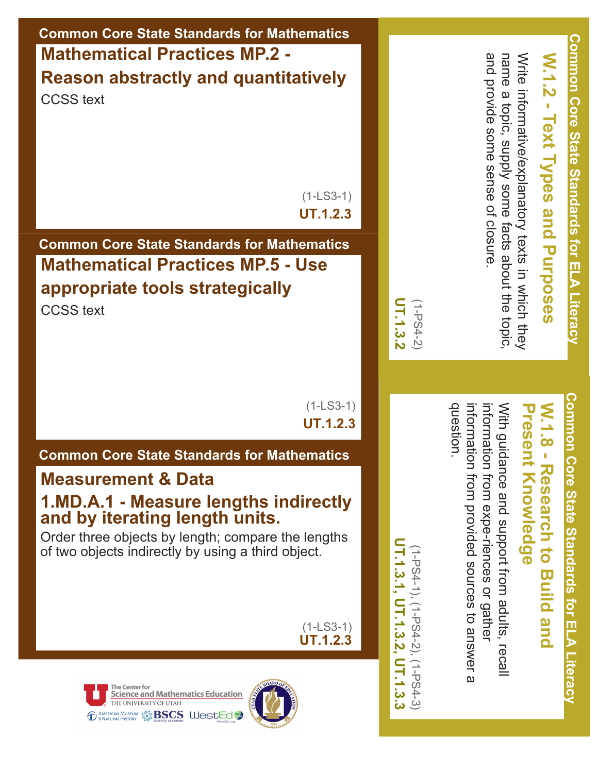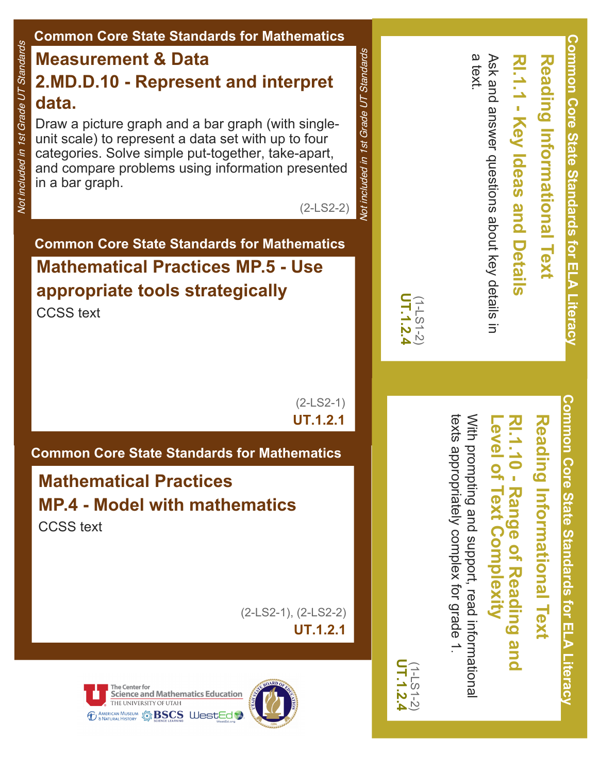#### **Common Core State Standards for Mathematics Common Core State Standards for ELA/Literacy Compon Core State State State State State** Not included in 1st Grade UT Standards Not included in 1st Grade UT Standards Not included in 1st Grade UT Standards Vot included in 1st Grade UT Standards **Measurement & Data** a text. Ask and answer questions about key details Ask and answer questions about key details in Reading Informational Text **RI.1.1 Key Ideas and Details Reading Informational Text 2.MD.D.10 Represent and interpret data.** Key Ideas and Draw a picture graph and a bar graph (with singleunit scale) to represent a data set with up to four categories. Solve simple put-together, take-apart, and compare problems using information presented in a bar graph. (2-LS2-2) **Details Common Core State Standards for Mathematics Mathematical Practices MP.5 Use appropriate tools strategically UT.1.2.4** (1-LS1-2) CCSS text  $\overline{5}$ **Common Core State Standards for ELA/Literacy** (2-LS2-1) Comnon Core State Standards for ELA Literacy **UT.1.2.1** With prompting and support, read informational texts appropriately complex for grade With prompting and support, read informational **Level of RI.1.10 Range of Reading and Reading Informational Reading** evel of Text Complexity  $-10 -$ **Common Core State Standards for Mathematics** appropriately **Mathematical Practices Informational Text Range of Reading and MP.4 Model with mathematics** CCSS text **Complexity** complex for grade 1(2LS21), (2LS22) **UT.1.2.1** . **UT.1.2.4** (1-LS1-2) $-1.2.4$ The Center for **Science and Mathematics Education** THE UNIVERSITY OF UTAH **TO AMERICAN MUSEUM STREED & BASCS WestEd &**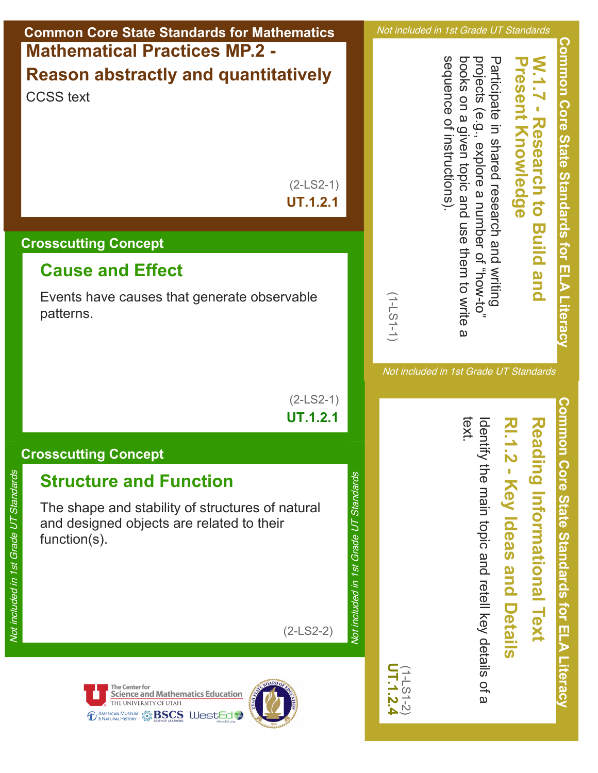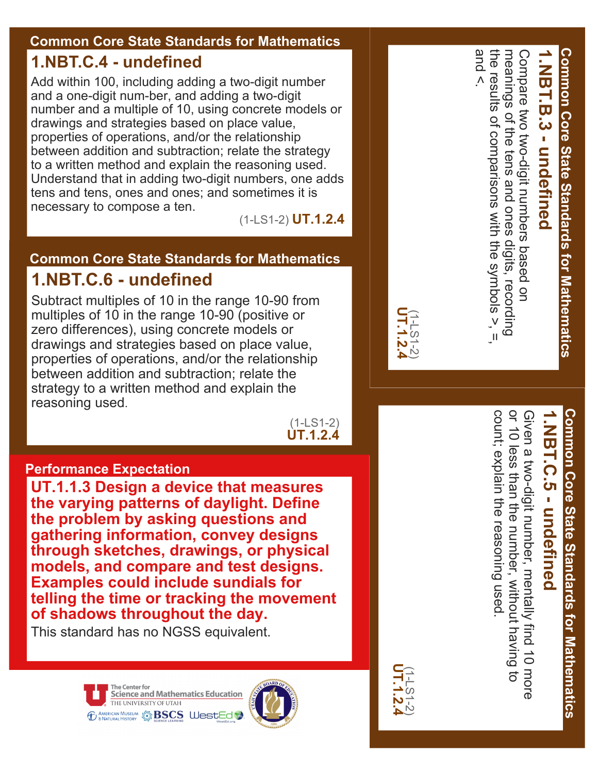#### **Common Core State Standards for Mathematics**

#### **1.NBT.C.4 undefined**

Add within 100, including adding a two-digit number and a one-digit num-ber, and adding a two-digit number and a multiple of 10, using concrete models or drawings and strategies based on place value, properties of operations, and/or the relationship between addition and subtraction; relate the strategy to a written method and explain the reasoning used. Understand that in adding two-digit numbers, one adds tens and tens, ones and ones; and sometimes it is necessary to compose a ten.

(1-LS1-2) **UT.1.2.4**

#### **Common Core State Standards for Mathematics 1.NBT.C.6 undefined**

Subtract multiples of 10 in the range 10-90 from multiples of 10 in the range 10-90 (positive or zero differences), using concrete models or drawings and strategies based on place value, properties of operations, and/or the relationship between addition and subtraction; relate the strategy to a written method and explain the reasoning used.

> (1-LS1-2) **UT.1.2.4**

#### **Performance Expectation**

**UT.1.1.3 Design a device that measures the varying patterns of daylight. Define the problem by asking questions and gathering information, convey designs through sketches, drawings, or physical models, and compare and test designs. Examples could include sundials for telling the time or tracking the movement of shadows throughout the day.** 

This standard has no NGSS equivalent.



and <. the results of comparisons with the symbols  $>$ ,  $=$ the results of comparisons with the symbols >, =, Compare two two-digit numbers based on<br>meanings of the tens and ones digits, recording Compare two twodigit numbers based on **1.NBT .B.3 undefined** of the tens and ones digits, recording

**Common Core State Standards for Mathematics**

**Common Core State Standards for Mathematics** 



**UT.1.2.4** (1-LS1-2)

# **Common Core State Standards for Mathematics Common Core State Standards for Mathematics**

## **1.NBT .C.5 undefined**

or 10 less than the number, without having to count; explain the reasoning used. or 10 less than the numbe count; explain the reasoning used Given a two-digit number, mentally find 10 more Given a twodigit number, mentally find 10 more , without having to